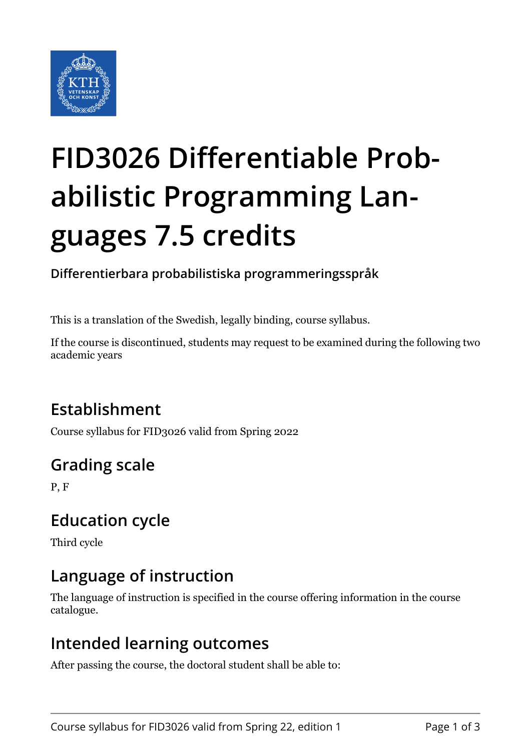

# **FID3026 Differentiable Probabilistic Programming Languages 7.5 credits**

**Differentierbara probabilistiska programmeringsspråk**

This is a translation of the Swedish, legally binding, course syllabus.

If the course is discontinued, students may request to be examined during the following two academic years

# **Establishment**

Course syllabus for FID3026 valid from Spring 2022

# **Grading scale**

P, F

## **Education cycle**

Third cycle

## **Language of instruction**

The language of instruction is specified in the course offering information in the course catalogue.

#### **Intended learning outcomes**

After passing the course, the doctoral student shall be able to: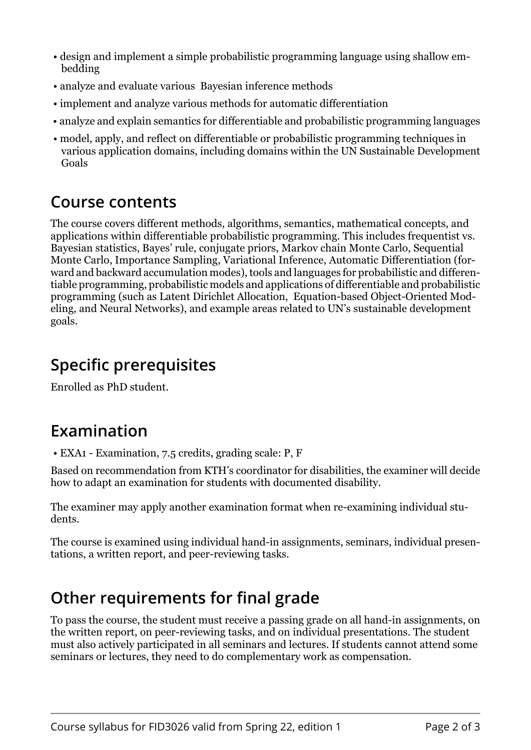- design and implement a simple probabilistic programming language using shallow embedding
- analyze and evaluate various Bayesian inference methods
- implement and analyze various methods for automatic differentiation
- analyze and explain semantics for differentiable and probabilistic programming languages
- model, apply, and reflect on differentiable or probabilistic programming techniques in various application domains, including domains within the UN Sustainable Development Goals

#### **Course contents**

The course covers different methods, algorithms, semantics, mathematical concepts, and applications within differentiable probabilistic programming. This includes frequentist vs. Bayesian statistics, Bayes' rule, conjugate priors, Markov chain Monte Carlo, Sequential Monte Carlo, Importance Sampling, Variational Inference, Automatic Differentiation (forward and backward accumulation modes), tools and languages for probabilistic and differentiable programming, probabilistic models and applications of differentiable and probabilistic programming (such as Latent Dirichlet Allocation, Equation-based Object-Oriented Modeling, and Neural Networks), and example areas related to UN's sustainable development goals.

### **Specific prerequisites**

Enrolled as PhD student.

#### **Examination**

• EXA1 - Examination, 7.5 credits, grading scale: P, F

Based on recommendation from KTH's coordinator for disabilities, the examiner will decide how to adapt an examination for students with documented disability.

The examiner may apply another examination format when re-examining individual students.

The course is examined using individual hand-in assignments, seminars, individual presentations, a written report, and peer-reviewing tasks.

#### **Other requirements for final grade**

To pass the course, the student must receive a passing grade on all hand-in assignments, on the written report, on peer-reviewing tasks, and on individual presentations. The student must also actively participated in all seminars and lectures. If students cannot attend some seminars or lectures, they need to do complementary work as compensation.